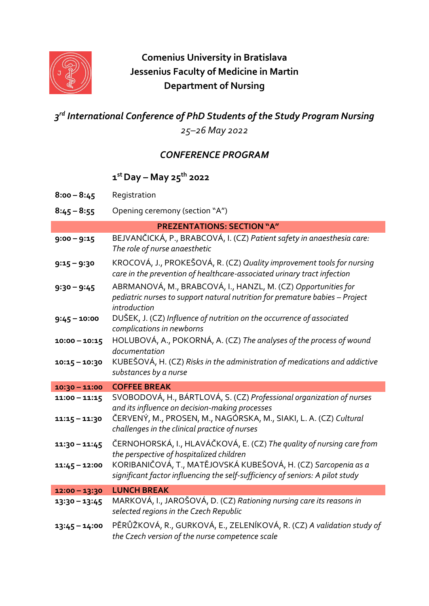

# **Comenius University in Bratislava Jessenius Faculty of Medicine in Martin Department of Nursing**

## *3 rd International Conference of PhD Students of the Study Program Nursing 25–26 May 2022*

### *CONFERENCE PROGRAM*

#### **1 st Day – May 25th 2022**

| $8:00 - 8:45$   | Registration                                                                                                                                                  |
|-----------------|---------------------------------------------------------------------------------------------------------------------------------------------------------------|
| $8:45 - 8:55$   | Opening ceremony (section "A")                                                                                                                                |
|                 | <b>PREZENTATIONS: SECTION "A"</b>                                                                                                                             |
| $9:00 - 9:15$   | BEJVANČICKÁ, P., BRABCOVÁ, I. (CZ) Patient safety in anaesthesia care:<br>The role of nurse anaesthetic                                                       |
| $9:15 - 9:30$   | KROCOVÁ, J., PROKEŠOVÁ, R. (CZ) Quality improvement tools for nursing<br>care in the prevention of healthcare-associated urinary tract infection              |
| $9:30 - 9:45$   | ABRMANOVÁ, M., BRABCOVÁ, I., HANZL, M. (CZ) Opportunities for<br>pediatric nurses to support natural nutrition for premature babies - Project<br>introduction |
| $9:45 - 10:00$  | DUŠEK, J. (CZ) Influence of nutrition on the occurrence of associated<br>complications in newborns                                                            |
| $10:00 - 10:15$ | HOLUBOVÁ, A., POKORNÁ, A. (CZ) The analyses of the process of wound<br>documentation                                                                          |
| $10:15 - 10:30$ | KUBEŠOVÁ, H. (CZ) Risks in the administration of medications and addictive<br>substances by a nurse                                                           |
| $10:30 - 11:00$ | <b>COFFEE BREAK</b>                                                                                                                                           |
| $11:00 - 11:15$ | SVOBODOVÁ, H., BÁRTLOVÁ, S. (CZ) Professional organization of nurses<br>and its influence on decision-making processes                                        |
| $11:15 - 11:30$ | ČERVENÝ, M., PROSEN, M., NAGÓRSKA, M., SIAKI, L. A. (CZ) Cultural<br>challenges in the clinical practice of nurses                                            |
| $11:30 - 11:45$ | ČERNOHORSKÁ, I., HLAVÁČKOVÁ, E. (CZ) The quality of nursing care from<br>the perspective of hospitalized children                                             |
| $11:45 - 12:00$ | KORIBANIČOVÁ, T., MATĚJOVSKÁ KUBEŠOVÁ, H. (CZ) Sarcopenia as a<br>significant factor influencing the self-sufficiency of seniors: A pilot study               |
| $12:00 - 13:30$ | <b>LUNCH BREAK</b>                                                                                                                                            |
| $13:30 - 13:45$ | MARKOVÁ, I., JAROŠOVÁ, D. (CZ) Rationing nursing care its reasons in<br>selected regions in the Czech Republic                                                |
| $13:45 - 14:00$ | PĚRŮŽKOVÁ, R., GURKOVÁ, E., ZELENÍKOVÁ, R. (CZ) A validation study of<br>the Czech version of the nurse competence scale                                      |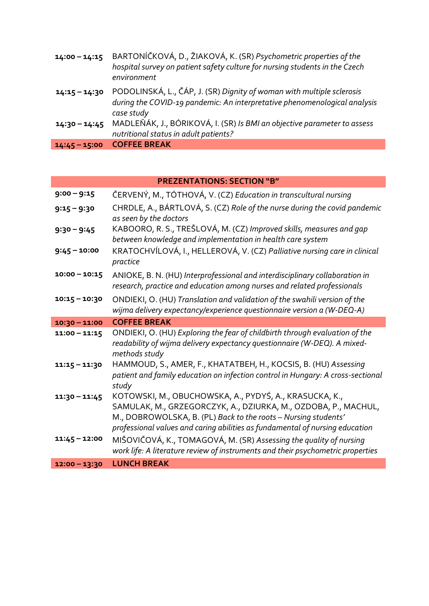| $14:00 - 14:15$ | BARTONÍČKOVÁ, D., ŽIAKOVÁ, K. (SR) Psychometric properties of the<br>hospital survey on patient safety culture for nursing students in the Czech<br>environment |
|-----------------|-----------------------------------------------------------------------------------------------------------------------------------------------------------------|
| $14:15 - 14:30$ | PODOLINSKÁ, L., ČÁP, J. (SR) Dignity of woman with multiple sclerosis<br>during the COVID-19 pandemic: An interpretative phenomenological analysis              |
| $14:30 - 14:45$ | case study<br>MADLEŇÁK, J., BÓRIKOVÁ, I. (SR) Is BMI an objective parameter to assess<br>nutritional status in adult patients?                                  |
| $14:45 - 15:00$ | <b>COFFEE BREAK</b>                                                                                                                                             |

### **PREZENTATIONS: SECTION "B"**

| $9:00 - 9:15$   | ČERVENÝ, M., TÓTHOVÁ, V. (CZ) Education in transcultural nursing                                                                                                                                                                      |
|-----------------|---------------------------------------------------------------------------------------------------------------------------------------------------------------------------------------------------------------------------------------|
| $9:15 - 9:30$   | CHRDLE, A., BÁRTLOVÁ, S. (CZ) Role of the nurse during the covid pandemic<br>as seen by the doctors                                                                                                                                   |
| $9:30 - 9:45$   | KABOORO, R. S., TREŠLOVÁ, M. (CZ) Improved skills, measures and gap<br>between knowledge and implementation in health care system                                                                                                     |
| $9:45 - 10:00$  | KRATOCHVÍLOVÁ, I., HELLEROVÁ, V. (CZ) Palliative nursing care in clinical<br>practice                                                                                                                                                 |
| $10:00 - 10:15$ | ANIOKE, B. N. (HU) Interprofessional and interdisciplinary collaboration in<br>research, practice and education among nurses and related professionals                                                                                |
| $10:15 - 10:30$ | ONDIEKI, O. (HU) Translation and validation of the swahili version of the<br>wijma delivery expectancy/experience questionnaire version a (W-DEQ-A)                                                                                   |
| $10:30 - 11:00$ | <b>COFFEE BREAK</b>                                                                                                                                                                                                                   |
|                 |                                                                                                                                                                                                                                       |
| $11:00 - 11:15$ | ONDIEKI, O. (HU) Exploring the fear of childbirth through evaluation of the<br>readability of wijma delivery expectancy questionnaire (W-DEQ). A mixed-<br>methods study                                                              |
| $11:15 - 11:30$ | HAMMOUD, S., AMER, F., KHATATBEH, H., KOCSIS, B. (HU) Assessing<br>patient and family education on infection control in Hungary: A cross-sectional<br>study                                                                           |
| $11:30 - 11:45$ | KOTOWSKI, M., OBUCHOWSKA, A., PYDYŚ, A., KRASUCKA, K.,<br>SAMULAK, M., GRZEGORCZYK, A., DZIURKA, M., OZDOBA, P., MACHUL,<br>M., DOBROWOLSKA, B. (PL) Back to the roots - Nursing students'                                            |
| $11:45 - 12:00$ | professional values and caring abilities as fundamental of nursing education<br>MIŠOVIČOVÁ, K., TOMAGOVÁ, M. (SR) Assessing the quality of nursing<br>work life: A literature review of instruments and their psychometric properties |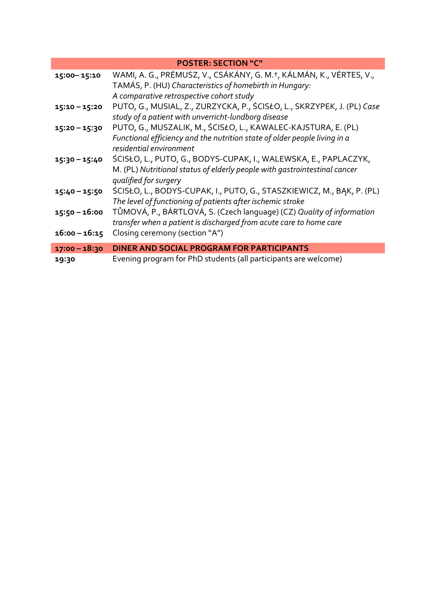| <b>POSTER: SECTION "C"</b> |                                                                           |  |
|----------------------------|---------------------------------------------------------------------------|--|
| 15:00-15:10                | WAMI, A. G., PRÉMUSZ, V., CSÁKÁNY, G. M.†, KÁLMÁN, K., VÉRTES, V.,        |  |
|                            | TAMÁS, P. (HU) Characteristics of homebirth in Hungary:                   |  |
|                            | A comparative retrospective cohort study                                  |  |
| $15:10 - 15:20$            | PUTO, G., MUSIAL, Z., ZURZYCKA, P., ŚCISŁO, L., SKRZYPEK, J. (PL) Case    |  |
|                            | study of a patient with unverricht-lundborg disease                       |  |
| $15:20 - 15:30$            | PUTO, G., MUSZALIK, M., ŚCISŁO, L., KAWALEC-KAJSTURA, E. (PL)             |  |
|                            | Functional efficiency and the nutrition state of older people living in a |  |
|                            | residential environment                                                   |  |
| $15:30 - 15:40$            | ŚCISŁO, L., PUTO, G., BODYS-CUPAK, I., WALEWSKA, E., PAPLACZYK,           |  |
|                            | M. (PL) Nutritional status of elderly people with gastrointestinal cancer |  |
|                            | qualified for surgery                                                     |  |
| $15:40 - 15:50$            | ŚCISŁO, L., BODYS-CUPAK, I., PUTO, G., STASZKIEWICZ, M., BAK, P. (PL)     |  |
|                            | The level of functioning of patients after ischemic stroke                |  |
| 15:50 - 16:00              | TŮMOVÁ, P., BÁRTLOVÁ, S. (Czech language) (CZ) Quality of information     |  |
|                            | transfer when a patient is discharged from acute care to home care        |  |
| $16:00 - 16:15$            | Closing ceremony (section "A")                                            |  |
| $17:00 - 18:30$            | DINER AND SOCIAL PROGRAM FOR PARTICIPANTS                                 |  |
| 19:30                      | Evening program for PhD students (all participants are welcome)           |  |